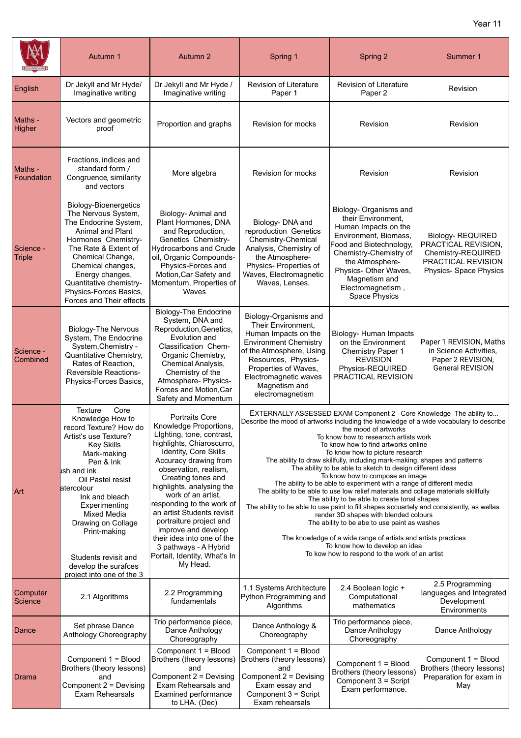|                            | Autumn 1                                                                                                                                                                                                                                                                                                                                                                              | Autumn 2                                                                                                                                                                                                                                                                                                                                                                                                                                                                      | Spring 1                                                                                                                                                                                                                                                                                                                                                                                                                                                                                                                                                                                                                                                                                                                                                                                                                                                                                                                                                                                                                                           | Spring 2                                                                                                                                                                                                                                              | Summer 1                                                                                                      |
|----------------------------|---------------------------------------------------------------------------------------------------------------------------------------------------------------------------------------------------------------------------------------------------------------------------------------------------------------------------------------------------------------------------------------|-------------------------------------------------------------------------------------------------------------------------------------------------------------------------------------------------------------------------------------------------------------------------------------------------------------------------------------------------------------------------------------------------------------------------------------------------------------------------------|----------------------------------------------------------------------------------------------------------------------------------------------------------------------------------------------------------------------------------------------------------------------------------------------------------------------------------------------------------------------------------------------------------------------------------------------------------------------------------------------------------------------------------------------------------------------------------------------------------------------------------------------------------------------------------------------------------------------------------------------------------------------------------------------------------------------------------------------------------------------------------------------------------------------------------------------------------------------------------------------------------------------------------------------------|-------------------------------------------------------------------------------------------------------------------------------------------------------------------------------------------------------------------------------------------------------|---------------------------------------------------------------------------------------------------------------|
| English                    | Dr Jekyll and Mr Hyde/<br>Imaginative writing                                                                                                                                                                                                                                                                                                                                         | Dr Jekyll and Mr Hyde /<br>Imaginative writing                                                                                                                                                                                                                                                                                                                                                                                                                                | Revision of Literature<br>Paper 1                                                                                                                                                                                                                                                                                                                                                                                                                                                                                                                                                                                                                                                                                                                                                                                                                                                                                                                                                                                                                  | Revision of Literature<br>Paper 2                                                                                                                                                                                                                     | Revision                                                                                                      |
| Maths -<br>Higher          | Vectors and geometric<br>proof                                                                                                                                                                                                                                                                                                                                                        | Proportion and graphs                                                                                                                                                                                                                                                                                                                                                                                                                                                         | Revision for mocks                                                                                                                                                                                                                                                                                                                                                                                                                                                                                                                                                                                                                                                                                                                                                                                                                                                                                                                                                                                                                                 | Revision                                                                                                                                                                                                                                              | Revision                                                                                                      |
| Maths -<br>Foundation      | Fractions, indices and<br>standard form /<br>Congruence, similarity<br>and vectors                                                                                                                                                                                                                                                                                                    | More algebra                                                                                                                                                                                                                                                                                                                                                                                                                                                                  | Revision for mocks                                                                                                                                                                                                                                                                                                                                                                                                                                                                                                                                                                                                                                                                                                                                                                                                                                                                                                                                                                                                                                 | Revision                                                                                                                                                                                                                                              | Revision                                                                                                      |
| Science -<br><b>Triple</b> | <b>Biology-Bioenergetics</b><br>The Nervous System,<br>The Endocrine System,<br>Animal and Plant<br>Hormones Chemistry-<br>The Rate & Extent of<br>Chemical Change,<br>Chemical changes,<br>Energy changes,<br>Quantitative chemistry-<br>Physics-Forces Basics,<br>Forces and Their effects                                                                                          | Biology- Animal and<br>Plant Hormones, DNA<br>and Reproduction,<br>Genetics Chemistry-<br>Hydrocarbons and Crude<br>oil, Organic Compounds-<br>Physics-Forces and<br>Motion, Car Safety and<br>Momentum, Properties of<br>Waves                                                                                                                                                                                                                                               | Biology- DNA and<br>reproduction Genetics<br>Chemistry-Chemical<br>Analysis, Chemistry of<br>the Atmosphere-<br>Physics- Properties of<br>Waves, Electromagnetic<br>Waves, Lenses,                                                                                                                                                                                                                                                                                                                                                                                                                                                                                                                                                                                                                                                                                                                                                                                                                                                                 | Biology- Organisms and<br>their Environment,<br>Human Impacts on the<br>Environment, Biomass,<br>Food and Biotechnology,<br>Chemistry-Chemistry of<br>the Atmosphere-<br>Physics- Other Waves,<br>Magnetism and<br>Electromagnetism,<br>Space Physics | Biology-REQUIRED<br>PRACTICAL REVISION,<br>Chemistry-REQUIRED<br>PRACTICAL REVISION<br>Physics- Space Physics |
| Science -<br>Combined      | <b>Biology-The Nervous</b><br>System, The Endocrine<br>System, Chemistry -<br>Quantitative Chemistry,<br>Rates of Reaction,<br><b>Reversible Reactions-</b><br>Physics-Forces Basics,                                                                                                                                                                                                 | <b>Biology-The Endocrine</b><br>System, DNA and<br>Reproduction, Genetics,<br>Evolution and<br>Classification Chem-<br>Organic Chemistry,<br>Chemical Analysis,<br>Chemistry of the<br>Atmosphere- Physics-<br>Forces and Motion, Car<br>Safety and Momentum                                                                                                                                                                                                                  | Biology-Organisms and<br>Their Environment,<br>Human Impacts on the<br><b>Environment Chemistry</b><br>of the Atmosphere, Using<br>Resources, Physics-<br>Properties of Waves,<br>Electromagnetic waves<br>Magnetism and<br>electromagnetism                                                                                                                                                                                                                                                                                                                                                                                                                                                                                                                                                                                                                                                                                                                                                                                                       | Biology- Human Impacts<br>on the Environment<br>Chemistry Paper 1<br><b>REVISION</b><br>Physics-REQUIRED<br>PRACTICAL REVISION                                                                                                                        | Paper 1 REVISION, Maths<br>in Science Activities,<br>Paper 2 REVISION,<br><b>General REVISION</b>             |
| Art                        | <b>Texture</b><br>Core<br>Knowledge How to<br>record Texture? How do<br>Artist's use Texture?<br><b>Key Skills</b><br>Mark-making<br>Pen & Ink<br><b>l</b> ish and ink<br>Oil Pastel resist<br>atercolour<br>Ink and bleach<br>Experimenting<br><b>Mixed Media</b><br>Drawing on Collage<br>Print-making<br>Students revisit and<br>develop the surafces<br>project into one of the 3 | <b>Portraits Core</b><br>Knowledge Proportions,<br>Lighting, tone, contrast,<br>highlights, Chiaroscurro,<br>Identity, Core Skills<br>Accuracy drawing from<br>observation, realism,<br>Creating tones and<br>highlights, analysing the<br>work of an artist.<br>responding to the work of<br>an artist Students revisit<br>portraiture project and<br>improve and develop<br>their idea into one of the<br>3 pathways - A Hybrid<br>Portait, Identity, What's In<br>My Head. | EXTERNALLY ASSESSED EXAM Component 2 Core Knowledge The ability to<br>Describe the mood of artworks including the knowledge of a wide vocabulary to describe<br>the mood of artworks<br>To know how to researxch artists work<br>To know how to find artworks online<br>To know how to picture research<br>The ability to draw skillfully, including mark-making, shapes and patterns<br>The ability to be able to sketch to design different ideas<br>To know how to compose an image<br>The ability to be able to experiment with a range of different media<br>The ability to be able to use low relief materials and collage materials skillfully<br>The ability to be able to create tonal shapes<br>The ability to be able to use paint to fill shapes accuartely and consistently, as wellas<br>render 3D shapes with blended colours<br>The ability to be abe to use paint as washes<br>The knowledge of a wide range of artists and artists practices<br>To know how to develop an idea<br>To kow how to respond to the work of an artist |                                                                                                                                                                                                                                                       |                                                                                                               |
| Computer<br>Science        | 2.1 Algorithms                                                                                                                                                                                                                                                                                                                                                                        | 2.2 Programming<br>fundamentals                                                                                                                                                                                                                                                                                                                                                                                                                                               | 1.1 Systems Architecture<br>Python Programming and<br>Algorithms                                                                                                                                                                                                                                                                                                                                                                                                                                                                                                                                                                                                                                                                                                                                                                                                                                                                                                                                                                                   | 2.4 Boolean logic +<br>Computational<br>mathematics                                                                                                                                                                                                   | 2.5 Programming<br>languages and Integrated<br>Development<br>Environments                                    |
| Dance                      | Set phrase Dance<br>Anthology Choreography                                                                                                                                                                                                                                                                                                                                            | Trio performance piece,<br>Dance Anthology<br>Choreography                                                                                                                                                                                                                                                                                                                                                                                                                    | Dance Anthology &<br>Choreography                                                                                                                                                                                                                                                                                                                                                                                                                                                                                                                                                                                                                                                                                                                                                                                                                                                                                                                                                                                                                  | Trio performance piece,<br>Dance Anthology<br>Choreography                                                                                                                                                                                            | Dance Anthology                                                                                               |
| Drama                      | Component 1 = Blood<br>Brothers (theory lessons)<br>and<br>Component 2 = Devising<br><b>Exam Rehearsals</b>                                                                                                                                                                                                                                                                           | Component 1 = Blood<br>Brothers (theory lessons)<br>and<br>Component 2 = Devising<br>Exam Rehearsals and<br><b>Examined performance</b><br>to LHA. (Dec)                                                                                                                                                                                                                                                                                                                      | Component 1 = Blood<br>Brothers (theory lessons)<br>and<br>Component 2 = Devising<br>Exam essay and<br>Component 3 = Script<br>Exam rehearsals                                                                                                                                                                                                                                                                                                                                                                                                                                                                                                                                                                                                                                                                                                                                                                                                                                                                                                     | Component 1 = Blood<br>Brothers (theory lessons)<br>Component 3 = Script<br>Exam performance.                                                                                                                                                         | Component 1 = Blood<br>Brothers (theory lessons)<br>Preparation for exam in<br>May                            |

 $\Gamma$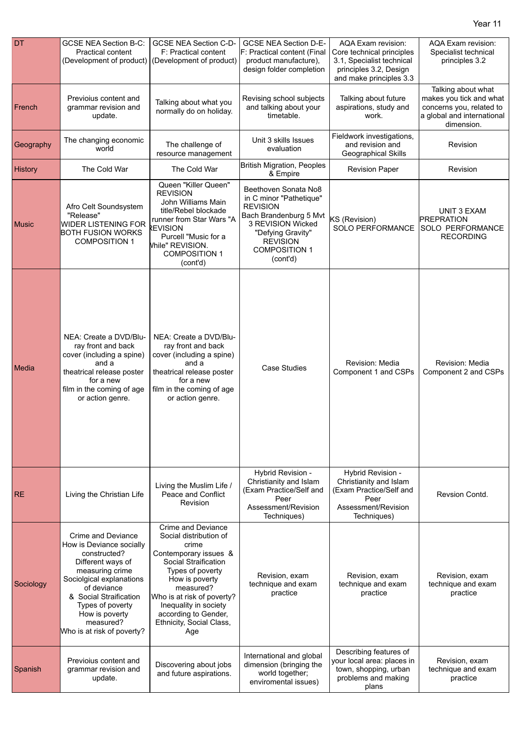| <b>DT</b>      | <b>GCSE NEA Section B-C:</b><br><b>Practical content</b><br>(Development of product)                                                                                                                                                                         | <b>GCSE NEA Section C-D-</b><br>F: Practical content<br>(Development of product)                                                                                                                                                                                                   | <b>GCSE NEA Section D-E-</b><br>F: Practical content (Final<br>product manufacture),<br>design folder completion                                                                              | AQA Exam revision:<br>Core technical principles<br>3.1, Specialist technical<br>principles 3.2, Design<br>and make principles 3.3 | AQA Exam revision:<br>Specialist technical<br>principles 3.2                                                          |
|----------------|--------------------------------------------------------------------------------------------------------------------------------------------------------------------------------------------------------------------------------------------------------------|------------------------------------------------------------------------------------------------------------------------------------------------------------------------------------------------------------------------------------------------------------------------------------|-----------------------------------------------------------------------------------------------------------------------------------------------------------------------------------------------|-----------------------------------------------------------------------------------------------------------------------------------|-----------------------------------------------------------------------------------------------------------------------|
| French         | Previoius content and<br>grammar revision and<br>update.                                                                                                                                                                                                     | Talking about what you<br>normally do on holiday.                                                                                                                                                                                                                                  | Revising school subjects<br>and talking about your<br>timetable.                                                                                                                              | Talking about future<br>aspirations, study and<br>work.                                                                           | Talking about what<br>makes you tick and what<br>concerns you, related to<br>a global and international<br>dimension. |
| Geography      | The changing economic<br>world                                                                                                                                                                                                                               | The challenge of<br>resource management                                                                                                                                                                                                                                            | Unit 3 skills Issues<br>evaluation                                                                                                                                                            | Fieldwork investigations,<br>and revision and<br>Geographical Skills                                                              | Revision                                                                                                              |
| <b>History</b> | The Cold War                                                                                                                                                                                                                                                 | The Cold War                                                                                                                                                                                                                                                                       | <b>British Migration, Peoples</b><br>& Empire                                                                                                                                                 | <b>Revision Paper</b>                                                                                                             | Revision                                                                                                              |
| <b>Music</b>   | Afro Celt Soundsystem<br>"Release"<br><b>WIDER LISTENING FOR</b><br><b>BOTH FUSION WORKS</b><br><b>COMPOSITION 1</b>                                                                                                                                         | Queen "Killer Queen"<br><b>REVISION</b><br>John Williams Main<br>title/Rebel blockade<br>runner from Star Wars "A<br>REVISION<br>Purcell "Music for a<br>Vhile" REVISION.<br><b>COMPOSITION 1</b><br>(cont'd)                                                                      | Beethoven Sonata No8<br>in C minor "Pathetique"<br><b>REVISION</b><br>Bach Brandenburg 5 Mvt<br>3 REVISION Wicked<br>"Defying Gravity"<br><b>REVISION</b><br><b>COMPOSITION 1</b><br>(cont'd) | KS (Revision)<br>SOLO PERFORMANCE                                                                                                 | UNIT 3 EXAM<br><b>PREPRATION</b><br>SOLO PERFORMANCE<br><b>RECORDING</b>                                              |
| Media          | NEA: Create a DVD/Blu-<br>ray front and back<br>cover (including a spine)<br>and a<br>theatrical release poster<br>for a new<br>film in the coming of age<br>or action genre.                                                                                | NEA: Create a DVD/Blu-<br>ray front and back<br>cover (including a spine)<br>and a<br>theatrical release poster<br>for a new<br>film in the coming of age<br>or action genre.                                                                                                      | <b>Case Studies</b>                                                                                                                                                                           | Revision: Media<br>Component 1 and CSPs                                                                                           | Revision: Media<br>Component 2 and CSPs                                                                               |
| <b>RE</b>      | Living the Christian Life                                                                                                                                                                                                                                    | Living the Muslim Life /<br>Peace and Conflict<br><b>Revision</b>                                                                                                                                                                                                                  | Hybrid Revision -<br>Christianity and Islam<br>(Exam Practice/Self and<br>Peer<br>Assessment/Revision<br>Techniques)                                                                          | Hybrid Revision -<br>Christianity and Islam<br>(Exam Practice/Self and<br>Peer<br>Assessment/Revision<br>Techniques)              | Revsion Contd.                                                                                                        |
| Sociology      | Crime and Deviance<br>How is Deviance socially<br>constructed?<br>Different ways of<br>measuring crime<br>Sociolgical explanations<br>of deviance<br>& Social Straification<br>Types of poverty<br>How is poverty<br>measured?<br>Who is at risk of poverty? | <b>Crime and Deviance</b><br>Social distribution of<br>crime<br>Contemporary issues &<br>Social Straification<br>Types of poverty<br>How is poverty<br>measured?<br>Who is at risk of poverty?<br>Inequality in society<br>according to Gender,<br>Ethnicity, Social Class,<br>Age | Revision, exam<br>technique and exam<br>practice                                                                                                                                              | Revision, exam<br>technique and exam<br>practice                                                                                  | Revision, exam<br>technique and exam<br>practice                                                                      |
| Spanish        | Previolus content and<br>grammar revision and<br>update.                                                                                                                                                                                                     | Discovering about jobs<br>and future aspirations.                                                                                                                                                                                                                                  | International and global<br>dimension (bringing the<br>world together;<br>enviromental issues)                                                                                                | Describing features of<br>your local area: places in<br>town, shopping, urban<br>problems and making<br>plans                     | Revision, exam<br>technique and exam<br>practice                                                                      |